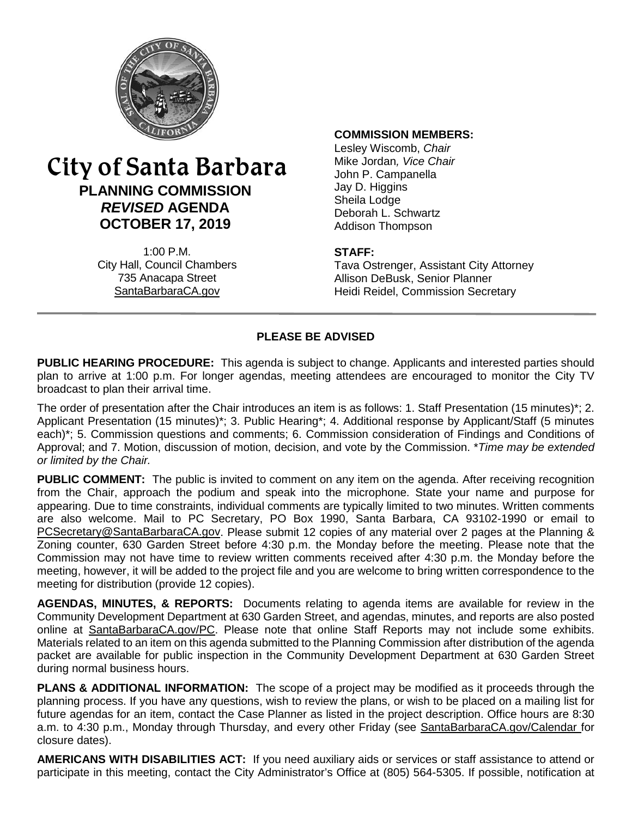

# City of Santa Barbara **PLANNING COMMISSION** *REVISED* **AGENDA OCTOBER 17, 2019**

1:00 P.M. City Hall, Council Chambers 735 Anacapa Street SantaBarbaraCA.gov

#### **COMMISSION MEMBERS:**

Lesley Wiscomb, *Chair* Mike Jordan*, Vice Chair* John P. Campanella Jay D. Higgins Sheila Lodge Deborah L. Schwartz Addison Thompson

#### **STAFF:**

Tava Ostrenger, Assistant City Attorney Allison DeBusk, Senior Planner Heidi Reidel, Commission Secretary

#### **PLEASE BE ADVISED**

**PUBLIC HEARING PROCEDURE:** This agenda is subject to change. Applicants and interested parties should plan to arrive at 1:00 p.m. For longer agendas, meeting attendees are encouraged to monitor the City TV broadcast to plan their arrival time.

The order of presentation after the Chair introduces an item is as follows: 1. Staff Presentation (15 minutes)\*; 2. Applicant Presentation (15 minutes)\*; 3. Public Hearing\*; 4. Additional response by Applicant/Staff (5 minutes each)\*; 5. Commission questions and comments; 6. Commission consideration of Findings and Conditions of Approval; and 7. Motion, discussion of motion, decision, and vote by the Commission. \**Time may be extended or limited by the Chair.*

**PUBLIC COMMENT:** The public is invited to comment on any item on the agenda. After receiving recognition from the Chair, approach the podium and speak into the microphone. State your name and purpose for appearing. Due to time constraints, individual comments are typically limited to two minutes. Written comments are also welcome. Mail to PC Secretary, PO Box 1990, Santa Barbara, CA 93102-1990 or email to [PCSecretary@SantaBarbaraCA.gov.](mailto:PCSecretary@SantaBarbaraCA.gov) Please submit 12 copies of any material over 2 pages at the Planning & Zoning counter, 630 Garden Street before 4:30 p.m. the Monday before the meeting. Please note that the Commission may not have time to review written comments received after 4:30 p.m. the Monday before the meeting, however, it will be added to the project file and you are welcome to bring written correspondence to the meeting for distribution (provide 12 copies).

**AGENDAS, MINUTES, & REPORTS:** Documents relating to agenda items are available for review in the Community Development Department at 630 Garden Street, and agendas, minutes, and reports are also posted online at [SantaBarbaraCA.gov/PC.](http://www.santabarbaraca.gov/PC) Please note that online Staff Reports may not include some exhibits. Materials related to an item on this agenda submitted to the Planning Commission after distribution of the agenda packet are available for public inspection in the Community Development Department at 630 Garden Street during normal business hours.

**PLANS & ADDITIONAL INFORMATION:** The scope of a project may be modified as it proceeds through the planning process. If you have any questions, wish to review the plans, or wish to be placed on a mailing list for future agendas for an item, contact the Case Planner as listed in the project description. Office hours are 8:30 a.m. to 4:30 p.m., Monday through Thursday, and every other Friday (see [SantaBarbaraCA.gov/Calendar](http://www.santabarbaraca.gov/cals/default.asp) for closure dates).

**AMERICANS WITH DISABILITIES ACT:** If you need auxiliary aids or services or staff assistance to attend or participate in this meeting, contact the City Administrator's Office at (805) 564-5305. If possible, notification at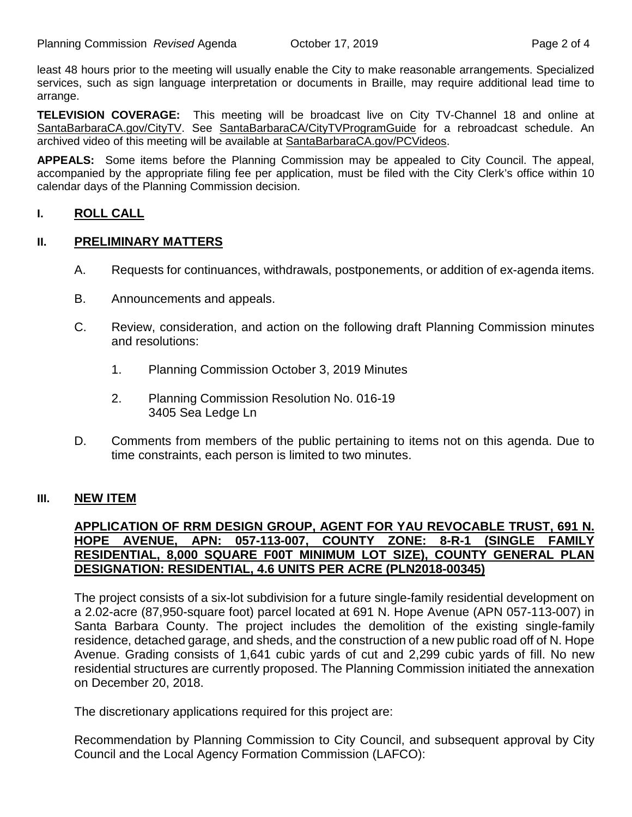least 48 hours prior to the meeting will usually enable the City to make reasonable arrangements. Specialized services, such as sign language interpretation or documents in Braille, may require additional lead time to arrange.

**TELEVISION COVERAGE:** This meeting will be broadcast live on City TV-Channel 18 and online at [SantaBarbaraCA.gov/CityTV.](http://www.santabarbaraca.gov/CityTV) See [SantaBarbaraCA/CityTVProgramGuide](http://www.santabarbaraca.gov/gov/depts/cityadmin/programming.asp) for a rebroadcast schedule. An archived video of this meeting will be available at [SantaBarbaraCA.gov/PCVideos.](http://www.santabarbaraca.gov/PCVideos)

**APPEALS:** Some items before the Planning Commission may be appealed to City Council. The appeal, accompanied by the appropriate filing fee per application, must be filed with the City Clerk's office within 10 calendar days of the Planning Commission decision.

## **I. ROLL CALL**

#### **II. PRELIMINARY MATTERS**

- A. Requests for continuances, withdrawals, postponements, or addition of ex-agenda items.
- B. Announcements and appeals.
- C. Review, consideration, and action on the following draft Planning Commission minutes and resolutions:
	- 1. Planning Commission October 3, 2019 Minutes
	- 2. Planning Commission Resolution No. 016-19 3405 Sea Ledge Ln
- D. Comments from members of the public pertaining to items not on this agenda. Due to time constraints, each person is limited to two minutes.

#### **III. NEW ITEM**

### **APPLICATION OF RRM DESIGN GROUP, AGENT FOR YAU REVOCABLE TRUST, 691 N. HOPE AVENUE, APN: 057-113-007, COUNTY ZONE: 8-R-1 (SINGLE FAMILY RESIDENTIAL, 8,000 SQUARE F00T MINIMUM LOT SIZE), COUNTY GENERAL PLAN DESIGNATION: RESIDENTIAL, 4.6 UNITS PER ACRE (PLN2018-00345)**

The project consists of a six-lot subdivision for a future single-family residential development on a 2.02-acre (87,950-square foot) parcel located at 691 N. Hope Avenue (APN 057-113-007) in Santa Barbara County. The project includes the demolition of the existing single-family residence, detached garage, and sheds, and the construction of a new public road off of N. Hope Avenue. Grading consists of 1,641 cubic yards of cut and 2,299 cubic yards of fill. No new residential structures are currently proposed. The Planning Commission initiated the annexation on December 20, 2018.

The discretionary applications required for this project are:

Recommendation by Planning Commission to City Council, and subsequent approval by City Council and the Local Agency Formation Commission (LAFCO):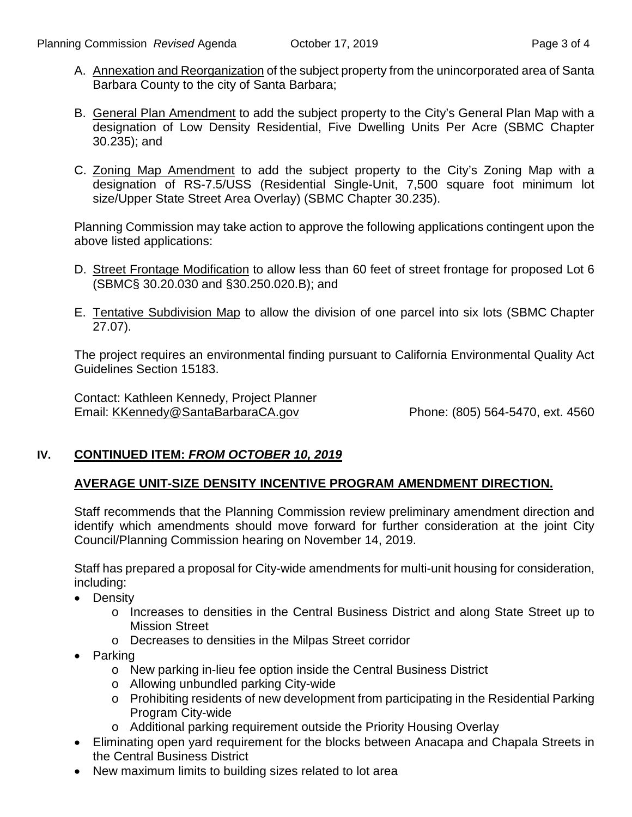- A. Annexation and Reorganization of the subject property from the unincorporated area of Santa Barbara County to the city of Santa Barbara;
- B. General Plan Amendment to add the subject property to the City's General Plan Map with a designation of Low Density Residential, Five Dwelling Units Per Acre (SBMC Chapter 30.235); and
- C. Zoning Map Amendment to add the subject property to the City's Zoning Map with a designation of RS-7.5/USS (Residential Single-Unit, 7,500 square foot minimum lot size/Upper State Street Area Overlay) (SBMC Chapter 30.235).

Planning Commission may take action to approve the following applications contingent upon the above listed applications:

- D. Street Frontage Modification to allow less than 60 feet of street frontage for proposed Lot 6 (SBMC§ 30.20.030 and §30.250.020.B); and
- E. Tentative Subdivision Map to allow the division of one parcel into six lots (SBMC Chapter 27.07).

The project requires an environmental finding pursuant to California Environmental Quality Act Guidelines Section 15183.

Contact: Kathleen Kennedy, Project Planner Email: [KKennedy@SantaBarbaraCA.gov](mailto:KKennedy@SantaBarbaraCA.gov) Phone: (805) 564-5470, ext. 4560

## **IV. CONTINUED ITEM:** *FROM OCTOBER 10, 2019*

#### **AVERAGE UNIT-SIZE DENSITY INCENTIVE PROGRAM AMENDMENT DIRECTION.**

Staff recommends that the Planning Commission review preliminary amendment direction and identify which amendments should move forward for further consideration at the joint City Council/Planning Commission hearing on November 14, 2019.

Staff has prepared a proposal for City-wide amendments for multi-unit housing for consideration, including:

- Density
	- o Increases to densities in the Central Business District and along State Street up to Mission Street
	- o Decreases to densities in the Milpas Street corridor
- Parking
	- o New parking in-lieu fee option inside the Central Business District
	- o Allowing unbundled parking City-wide
	- o Prohibiting residents of new development from participating in the Residential Parking Program City-wide
	- o Additional parking requirement outside the Priority Housing Overlay
- Eliminating open yard requirement for the blocks between Anacapa and Chapala Streets in the Central Business District
- New maximum limits to building sizes related to lot area